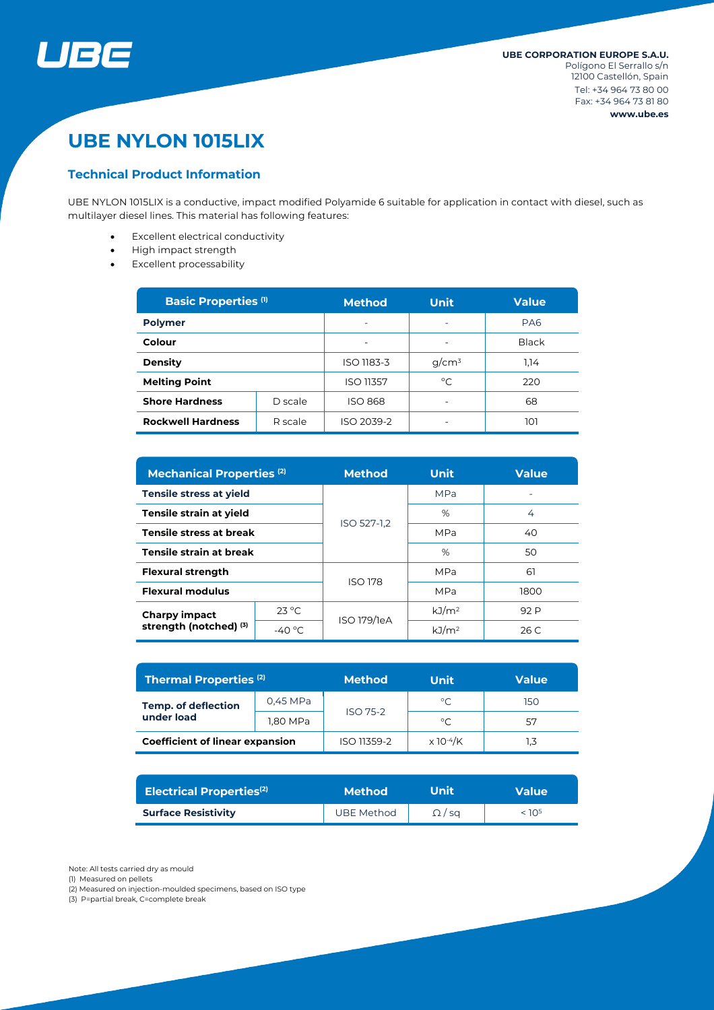

# **UBE NYLON 1015LIX**

# **Technical Product Information**

UBE NYLON 1015LIX is a conductive, impact modified Polyamide 6 suitable for application in contact with diesel, such as multilayer diesel lines. This material has following features:

- Excellent electrical conductivity
- High impact strength
- Excellent processability

| <b>Basic Properties (1)</b> |         | <b>Method</b><br>Unit    |          | <b>Value</b>    |  |
|-----------------------------|---------|--------------------------|----------|-----------------|--|
| <b>Polymer</b>              |         | $\overline{\phantom{0}}$ | ۰        | PA <sub>6</sub> |  |
| Colour                      |         | $\overline{\phantom{0}}$ |          | <b>Black</b>    |  |
| <b>Density</b>              |         | ISO 1183-3               | $q/cm^3$ | 1.14            |  |
| <b>Melting Point</b>        |         | <b>ISO 11357</b>         | °C       | 220             |  |
| <b>Shore Hardness</b>       | D scale | <b>ISO 868</b>           |          | 68              |  |
| <b>Rockwell Hardness</b>    | R scale | ISO 2039-2               |          | וסו             |  |

| <b>Mechanical Properties (2)</b>               |                  | <b>Method</b> | Unit               | <b>Value</b> |  |
|------------------------------------------------|------------------|---------------|--------------------|--------------|--|
| <b>Tensile stress at yield</b>                 |                  | ISO 527-1.2   | <b>MPa</b>         |              |  |
| Tensile strain at yield                        |                  |               | %                  | 4            |  |
| <b>Tensile stress at break</b>                 |                  |               | <b>MPa</b>         | 40           |  |
| Tensile strain at break                        |                  |               | %                  | 50           |  |
| <b>Flexural strength</b>                       |                  | ISO 178       | <b>MPa</b>         | 61           |  |
| <b>Flexural modulus</b>                        |                  |               | <b>MPa</b><br>1800 |              |  |
| <b>Charpy impact</b><br>strength (notched) (3) | $23^{\circ}$ C   | ISO 179/1eA   | kJ/m <sup>2</sup>  | 92 P         |  |
|                                                | -40 $^{\circ}$ C |               | kJ/m <sup>2</sup>  | 26 C         |  |

| <b>Thermal Properties (2)</b>            |          | <b>Method</b>   | Unit                         |     |
|------------------------------------------|----------|-----------------|------------------------------|-----|
| <b>Temp. of deflection</b><br>under load | 0,45 MPa | <b>ISO 75-2</b> | $^{\circ}C$                  | 150 |
|                                          | 1,80 MPa |                 | $^{\circ}C$                  | 57  |
| <b>Coefficient of linear expansion</b>   |          | ISO 11359-2     | $\times$ 10 <sup>-4</sup> /K |     |

| <b>Electrical Properties(2)</b> | <b>Method</b>     | Unit          | <b>Value</b>      |
|---------------------------------|-------------------|---------------|-------------------|
| <b>Surface Resistivity</b>      | <b>UBE Method</b> | $\Omega$ / sq | < 10 <sup>5</sup> |

Note: All tests carried dry as mould

(1) Measured on pellets

(2) Measured on injection-moulded specimens, based on ISO type

(3) P=partial break, C=complete break